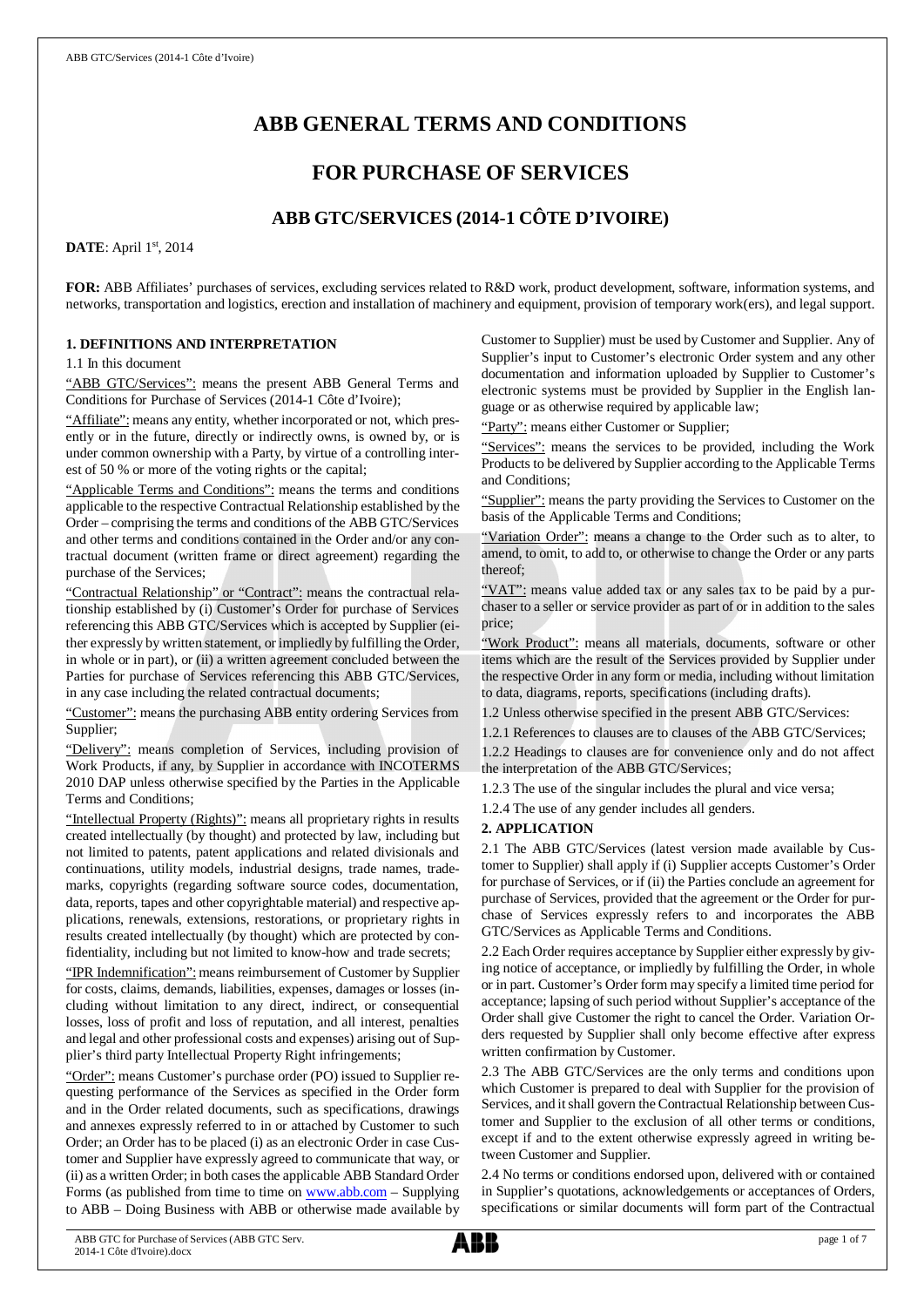# **ABB GENERAL TERMS AND CONDITIONS**

# **FOR PURCHASE OF SERVICES**

# **ABB GTC/SERVICES (2014-1 CÔTE D'IVOIRE)**

**DATE**: April 1st, 2014

**FOR:** ABB Affiliates' purchases of services, excluding services related to R&D work, product development, software, information systems, and networks, transportation and logistics, erection and installation of machinery and equipment, provision of temporary work(ers), and legal support.

## **1. DEFINITIONS AND INTERPRETATION**

1.1 In this document

"ABB GTC/Services": means the present ABB General Terms and Conditions for Purchase of Services (2014-1 Côte d'Ivoire);

"Affiliate": means any entity, whether incorporated or not, which presently or in the future, directly or indirectly owns, is owned by, or is under common ownership with a Party, by virtue of a controlling interest of 50 % or more of the voting rights or the capital;

"Applicable Terms and Conditions": means the terms and conditions applicable to the respective Contractual Relationship established by the Order – comprising the terms and conditions of the ABB GTC/Services and other terms and conditions contained in the Order and/or any contractual document (written frame or direct agreement) regarding the purchase of the Services;

"Contractual Relationship" or "Contract": means the contractual relationship established by (i) Customer's Order for purchase of Services referencing this ABB GTC/Services which is accepted by Supplier (either expressly by written statement, or impliedly by fulfilling the Order, in whole or in part), or (ii) a written agreement concluded between the Parties for purchase of Services referencing this ABB GTC/Services, in any case including the related contractual documents;

"Customer": means the purchasing ABB entity ordering Services from Supplier;

"Delivery": means completion of Services, including provision of Work Products, if any, by Supplier in accordance with INCOTERMS 2010 DAP unless otherwise specified by the Parties in the Applicable Terms and Conditions;

"Intellectual Property (Rights)": means all proprietary rights in results created intellectually (by thought) and protected by law, including but not limited to patents, patent applications and related divisionals and continuations, utility models, industrial designs, trade names, trademarks, copyrights (regarding software source codes, documentation, data, reports, tapes and other copyrightable material) and respective applications, renewals, extensions, restorations, or proprietary rights in results created intellectually (by thought) which are protected by confidentiality, including but not limited to know-how and trade secrets;

"IPR Indemnification": means reimbursement of Customer by Supplier for costs, claims, demands, liabilities, expenses, damages or losses (including without limitation to any direct, indirect, or consequential losses, loss of profit and loss of reputation, and all interest, penalties and legal and other professional costs and expenses) arising out of Supplier's third party Intellectual Property Right infringements;

"Order": means Customer's purchase order (PO) issued to Supplier requesting performance of the Services as specified in the Order form and in the Order related documents, such as specifications, drawings and annexes expressly referred to in or attached by Customer to such Order; an Order has to be placed (i) as an electronic Order in case Customer and Supplier have expressly agreed to communicate that way, or (ii) as a written Order; in both cases the applicable ABB Standard Order Forms (as published from time to time on [www.abb.com](http://www.abb.com/) - Supplying to ABB – Doing Business with ABB or otherwise made available by Customer to Supplier) must be used by Customer and Supplier. Any of Supplier's input to Customer's electronic Order system and any other documentation and information uploaded by Supplier to Customer's electronic systems must be provided by Supplier in the English language or as otherwise required by applicable law;

"Party": means either Customer or Supplier;

"Services": means the services to be provided, including the Work Products to be delivered by Supplier according to the Applicable Terms and Conditions;

"Supplier": means the party providing the Services to Customer on the basis of the Applicable Terms and Conditions;

"Variation Order": means a change to the Order such as to alter, to amend, to omit, to add to, or otherwise to change the Order or any parts thereof;

"VAT": means value added tax or any sales tax to be paid by a purchaser to a seller or service provider as part of or in addition to the sales price;

"Work Product": means all materials, documents, software or other items which are the result of the Services provided by Supplier under the respective Order in any form or media, including without limitation to data, diagrams, reports, specifications (including drafts).

1.2 Unless otherwise specified in the present ABB GTC/Services:

1.2.1 References to clauses are to clauses of the ABB GTC/Services; 1.2.2 Headings to clauses are for convenience only and do not affect the interpretation of the ABB GTC/Services;

1.2.3 The use of the singular includes the plural and vice versa;

1.2.4 The use of any gender includes all genders.

### **2. APPLICATION**

2.1 The ABB GTC/Services (latest version made available by Customer to Supplier) shall apply if (i) Supplier accepts Customer's Order for purchase of Services, or if (ii) the Parties conclude an agreement for purchase of Services, provided that the agreement or the Order for purchase of Services expressly refers to and incorporates the ABB GTC/Services as Applicable Terms and Conditions.

2.2 Each Order requires acceptance by Supplier either expressly by giving notice of acceptance, or impliedly by fulfilling the Order, in whole or in part. Customer's Order form may specify a limited time period for acceptance; lapsing of such period without Supplier's acceptance of the Order shall give Customer the right to cancel the Order. Variation Orders requested by Supplier shall only become effective after express written confirmation by Customer.

2.3 The ABB GTC/Services are the only terms and conditions upon which Customer is prepared to deal with Supplier for the provision of Services, and it shall govern the Contractual Relationship between Customer and Supplier to the exclusion of all other terms or conditions, except if and to the extent otherwise expressly agreed in writing between Customer and Supplier.

2.4 No terms or conditions endorsed upon, delivered with or contained in Supplier's quotations, acknowledgements or acceptances of Orders, specifications or similar documents will form part of the Contractual

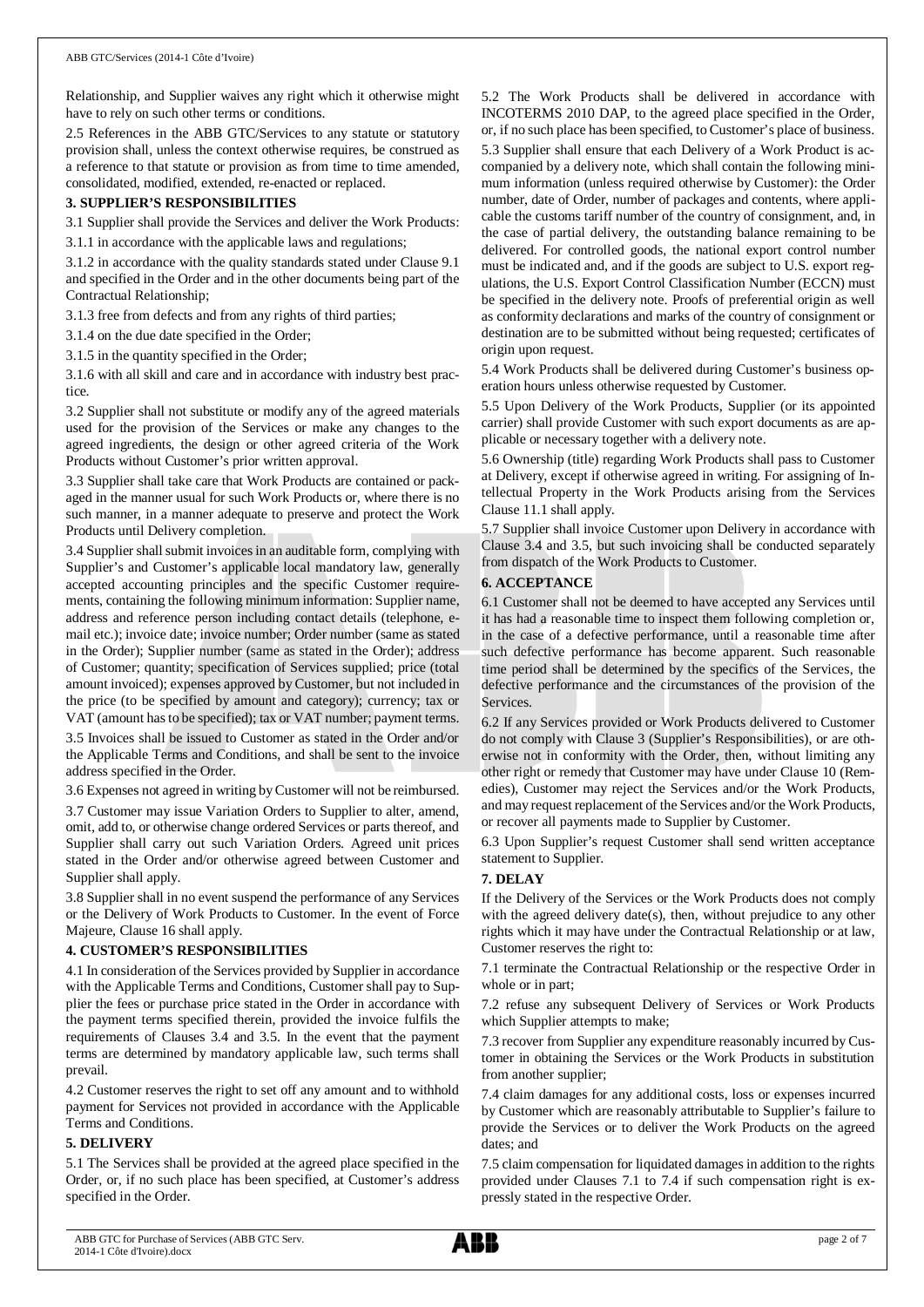Relationship, and Supplier waives any right which it otherwise might have to rely on such other terms or conditions.

2.5 References in the ABB GTC/Services to any statute or statutory provision shall, unless the context otherwise requires, be construed as a reference to that statute or provision as from time to time amended, consolidated, modified, extended, re-enacted or replaced.

## **3. SUPPLIER'S RESPONSIBILITIES**

3.1 Supplier shall provide the Services and deliver the Work Products:

3.1.1 in accordance with the applicable laws and regulations;

3.1.2 in accordance with the quality standards stated under Clause 9.1 and specified in the Order and in the other documents being part of the Contractual Relationship;

3.1.3 free from defects and from any rights of third parties;

3.1.4 on the due date specified in the Order;

3.1.5 in the quantity specified in the Order;

3.1.6 with all skill and care and in accordance with industry best practice.

3.2 Supplier shall not substitute or modify any of the agreed materials used for the provision of the Services or make any changes to the agreed ingredients, the design or other agreed criteria of the Work Products without Customer's prior written approval.

3.3 Supplier shall take care that Work Products are contained or packaged in the manner usual for such Work Products or, where there is no such manner, in a manner adequate to preserve and protect the Work Products until Delivery completion.

3.4 Supplier shall submit invoices in an auditable form, complying with Supplier's and Customer's applicable local mandatory law, generally accepted accounting principles and the specific Customer requirements, containing the following minimum information: Supplier name, address and reference person including contact details (telephone, email etc.); invoice date; invoice number; Order number (same as stated in the Order); Supplier number (same as stated in the Order); address of Customer; quantity; specification of Services supplied; price (total amount invoiced); expenses approved by Customer, but not included in the price (to be specified by amount and category); currency; tax or VAT (amount has to be specified); tax or VAT number; payment terms. 3.5 Invoices shall be issued to Customer as stated in the Order and/or

the Applicable Terms and Conditions, and shall be sent to the invoice address specified in the Order.

3.6 Expenses not agreed in writing by Customer will not be reimbursed.

3.7 Customer may issue Variation Orders to Supplier to alter, amend, omit, add to, or otherwise change ordered Services or parts thereof, and Supplier shall carry out such Variation Orders. Agreed unit prices stated in the Order and/or otherwise agreed between Customer and Supplier shall apply.

3.8 Supplier shall in no event suspend the performance of any Services or the Delivery of Work Products to Customer. In the event of Force Majeure, Clause 16 shall apply.

### **4. CUSTOMER'S RESPONSIBILITIES**

4.1 In consideration of the Services provided by Supplier in accordance with the Applicable Terms and Conditions, Customer shall pay to Supplier the fees or purchase price stated in the Order in accordance with the payment terms specified therein, provided the invoice fulfils the requirements of Clauses 3.4 and 3.5. In the event that the payment terms are determined by mandatory applicable law, such terms shall prevail.

4.2 Customer reserves the right to set off any amount and to withhold payment for Services not provided in accordance with the Applicable Terms and Conditions.

### **5. DELIVERY**

5.1 The Services shall be provided at the agreed place specified in the Order, or, if no such place has been specified, at Customer's address specified in the Order.

5.2 The Work Products shall be delivered in accordance with INCOTERMS 2010 DAP, to the agreed place specified in the Order, or, if no such place has been specified, to Customer's place of business. 5.3 Supplier shall ensure that each Delivery of a Work Product is accompanied by a delivery note, which shall contain the following minimum information (unless required otherwise by Customer): the Order number, date of Order, number of packages and contents, where applicable the customs tariff number of the country of consignment, and, in the case of partial delivery, the outstanding balance remaining to be delivered. For controlled goods, the national export control number must be indicated and, and if the goods are subject to U.S. export regulations, the U.S. Export Control Classification Number (ECCN) must be specified in the delivery note. Proofs of preferential origin as well as conformity declarations and marks of the country of consignment or destination are to be submitted without being requested; certificates of origin upon request.

5.4 Work Products shall be delivered during Customer's business operation hours unless otherwise requested by Customer.

5.5 Upon Delivery of the Work Products, Supplier (or its appointed carrier) shall provide Customer with such export documents as are applicable or necessary together with a delivery note.

5.6 Ownership (title) regarding Work Products shall pass to Customer at Delivery, except if otherwise agreed in writing. For assigning of Intellectual Property in the Work Products arising from the Services Clause 11.1 shall apply.

5.7 Supplier shall invoice Customer upon Delivery in accordance with Clause 3.4 and 3.5, but such invoicing shall be conducted separately from dispatch of the Work Products to Customer.

## **6. ACCEPTANCE**

6.1 Customer shall not be deemed to have accepted any Services until it has had a reasonable time to inspect them following completion or, in the case of a defective performance, until a reasonable time after such defective performance has become apparent. Such reasonable time period shall be determined by the specifics of the Services, the defective performance and the circumstances of the provision of the Services.

6.2 If any Services provided or Work Products delivered to Customer do not comply with Clause 3 (Supplier's Responsibilities), or are otherwise not in conformity with the Order, then, without limiting any other right or remedy that Customer may have under Clause 10 (Remedies), Customer may reject the Services and/or the Work Products, and may request replacement of the Services and/or the Work Products, or recover all payments made to Supplier by Customer.

6.3 Upon Supplier's request Customer shall send written acceptance statement to Supplier.

# **7. DELAY**

If the Delivery of the Services or the Work Products does not comply with the agreed delivery date(s), then, without prejudice to any other rights which it may have under the Contractual Relationship or at law, Customer reserves the right to:

7.1 terminate the Contractual Relationship or the respective Order in whole or in part;

7.2 refuse any subsequent Delivery of Services or Work Products which Supplier attempts to make;

7.3 recover from Supplier any expenditure reasonably incurred by Customer in obtaining the Services or the Work Products in substitution from another supplier;

7.4 claim damages for any additional costs, loss or expenses incurred by Customer which are reasonably attributable to Supplier's failure to provide the Services or to deliver the Work Products on the agreed dates; and

7.5 claim compensation for liquidated damages in addition to the rights provided under Clauses 7.1 to 7.4 if such compensation right is expressly stated in the respective Order.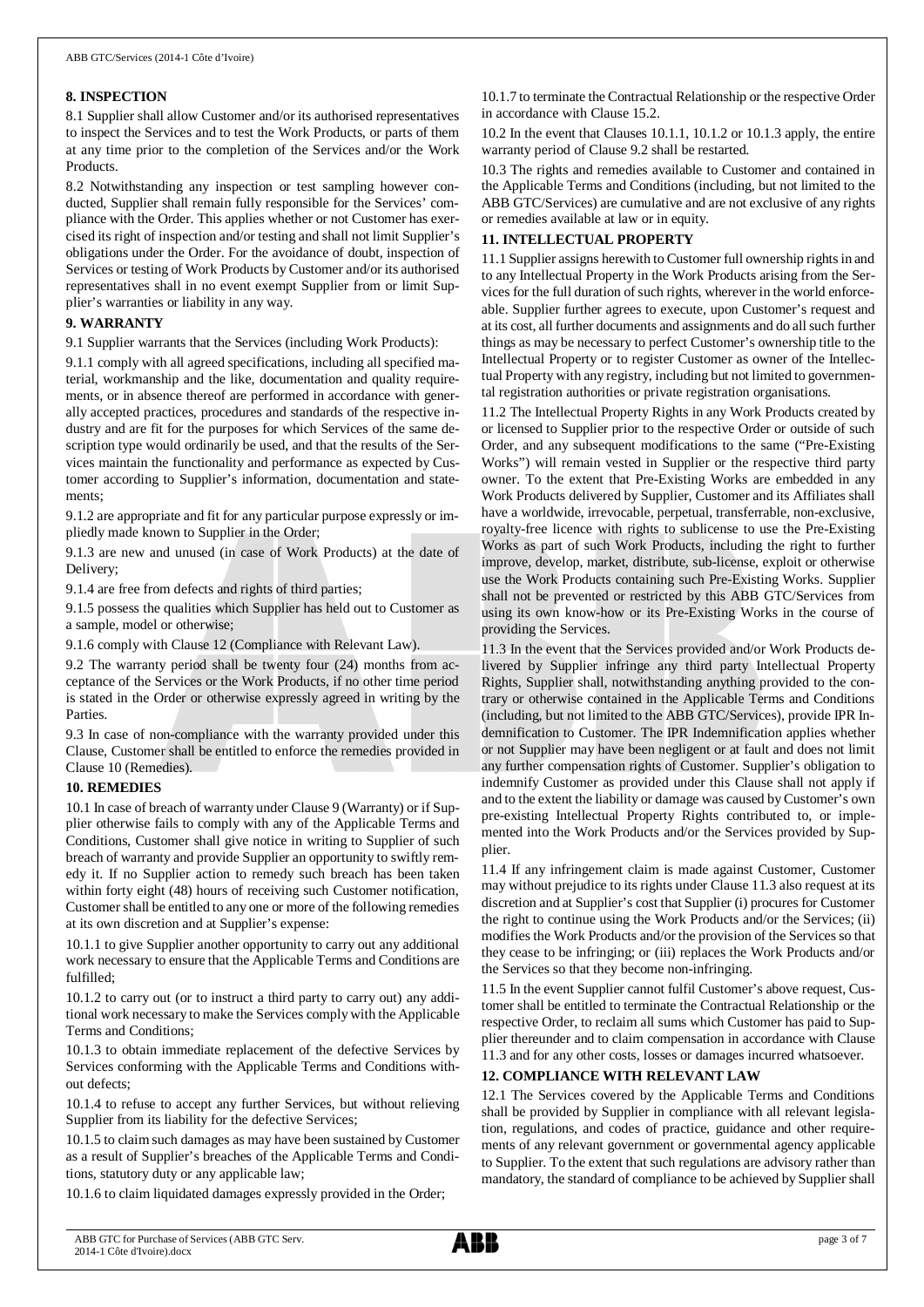### **8. INSPECTION**

8.1 Supplier shall allow Customer and/or its authorised representatives to inspect the Services and to test the Work Products, or parts of them at any time prior to the completion of the Services and/or the Work Products.

8.2 Notwithstanding any inspection or test sampling however conducted, Supplier shall remain fully responsible for the Services' compliance with the Order. This applies whether or not Customer has exercised its right of inspection and/or testing and shall not limit Supplier's obligations under the Order. For the avoidance of doubt, inspection of Services or testing of Work Products by Customer and/or its authorised representatives shall in no event exempt Supplier from or limit Supplier's warranties or liability in any way.

### **9. WARRANTY**

9.1 Supplier warrants that the Services (including Work Products):

9.1.1 comply with all agreed specifications, including all specified material, workmanship and the like, documentation and quality requirements, or in absence thereof are performed in accordance with generally accepted practices, procedures and standards of the respective industry and are fit for the purposes for which Services of the same description type would ordinarily be used, and that the results of the Services maintain the functionality and performance as expected by Customer according to Supplier's information, documentation and statements;

9.1.2 are appropriate and fit for any particular purpose expressly or impliedly made known to Supplier in the Order;

9.1.3 are new and unused (in case of Work Products) at the date of Delivery;

9.1.4 are free from defects and rights of third parties;

9.1.5 possess the qualities which Supplier has held out to Customer as a sample, model or otherwise;

9.1.6 comply with Clause 12 (Compliance with Relevant Law).

9.2 The warranty period shall be twenty four (24) months from acceptance of the Services or the Work Products, if no other time period is stated in the Order or otherwise expressly agreed in writing by the Parties.

9.3 In case of non-compliance with the warranty provided under this Clause, Customer shall be entitled to enforce the remedies provided in Clause 10 (Remedies).

### **10. REMEDIES**

10.1 In case of breach of warranty under Clause 9 (Warranty) or if Supplier otherwise fails to comply with any of the Applicable Terms and Conditions, Customer shall give notice in writing to Supplier of such breach of warranty and provide Supplier an opportunity to swiftly remedy it. If no Supplier action to remedy such breach has been taken within forty eight (48) hours of receiving such Customer notification, Customer shall be entitled to any one or more of the following remedies at its own discretion and at Supplier's expense:

10.1.1 to give Supplier another opportunity to carry out any additional work necessary to ensure that the Applicable Terms and Conditions are fulfilled;

10.1.2 to carry out (or to instruct a third party to carry out) any additional work necessary to make the Services comply with the Applicable Terms and Conditions;

10.1.3 to obtain immediate replacement of the defective Services by Services conforming with the Applicable Terms and Conditions without defects;

10.1.4 to refuse to accept any further Services, but without relieving Supplier from its liability for the defective Services;

10.1.5 to claim such damages as may have been sustained by Customer as a result of Supplier's breaches of the Applicable Terms and Conditions, statutory duty or any applicable law;

10.1.6 to claim liquidated damages expressly provided in the Order;

10.1.7 to terminate the Contractual Relationship or the respective Order in accordance with Clause 15.2.

10.2 In the event that Clauses 10.1.1, 10.1.2 or 10.1.3 apply, the entire warranty period of Clause 9.2 shall be restarted.

10.3 The rights and remedies available to Customer and contained in the Applicable Terms and Conditions (including, but not limited to the ABB GTC/Services) are cumulative and are not exclusive of any rights or remedies available at law or in equity.

## **11. INTELLECTUAL PROPERTY**

11.1 Supplier assigns herewith to Customer full ownership rights in and to any Intellectual Property in the Work Products arising from the Services for the full duration of such rights, wherever in the world enforceable. Supplier further agrees to execute, upon Customer's request and at its cost, all further documents and assignments and do all such further things as may be necessary to perfect Customer's ownership title to the Intellectual Property or to register Customer as owner of the Intellectual Property with any registry, including but not limited to governmental registration authorities or private registration organisations.

11.2 The Intellectual Property Rights in any Work Products created by or licensed to Supplier prior to the respective Order or outside of such Order, and any subsequent modifications to the same ("Pre-Existing Works") will remain vested in Supplier or the respective third party owner. To the extent that Pre-Existing Works are embedded in any Work Products delivered by Supplier, Customer and its Affiliates shall have a worldwide, irrevocable, perpetual, transferrable, non-exclusive, royalty-free licence with rights to sublicense to use the Pre-Existing Works as part of such Work Products, including the right to further improve, develop, market, distribute, sub-license, exploit or otherwise use the Work Products containing such Pre-Existing Works. Supplier shall not be prevented or restricted by this ABB GTC/Services from using its own know-how or its Pre-Existing Works in the course of providing the Services.

11.3 In the event that the Services provided and/or Work Products delivered by Supplier infringe any third party Intellectual Property Rights, Supplier shall, notwithstanding anything provided to the contrary or otherwise contained in the Applicable Terms and Conditions (including, but not limited to the ABB GTC/Services), provide IPR Indemnification to Customer. The IPR Indemnification applies whether or not Supplier may have been negligent or at fault and does not limit any further compensation rights of Customer. Supplier's obligation to indemnify Customer as provided under this Clause shall not apply if and to the extent the liability or damage was caused by Customer's own pre-existing Intellectual Property Rights contributed to, or implemented into the Work Products and/or the Services provided by Supplier.

11.4 If any infringement claim is made against Customer, Customer may without prejudice to its rights under Clause 11.3 also request at its discretion and at Supplier's cost that Supplier (i) procures for Customer the right to continue using the Work Products and/or the Services; (ii) modifies the Work Products and/or the provision of the Services so that they cease to be infringing; or (iii) replaces the Work Products and/or the Services so that they become non-infringing.

11.5 In the event Supplier cannot fulfil Customer's above request, Customer shall be entitled to terminate the Contractual Relationship or the respective Order, to reclaim all sums which Customer has paid to Supplier thereunder and to claim compensation in accordance with Clause 11.3 and for any other costs, losses or damages incurred whatsoever.

# **12. COMPLIANCE WITH RELEVANT LAW**

12.1 The Services covered by the Applicable Terms and Conditions shall be provided by Supplier in compliance with all relevant legislation, regulations, and codes of practice, guidance and other requirements of any relevant government or governmental agency applicable to Supplier. To the extent that such regulations are advisory rather than mandatory, the standard of compliance to be achieved by Supplier shall

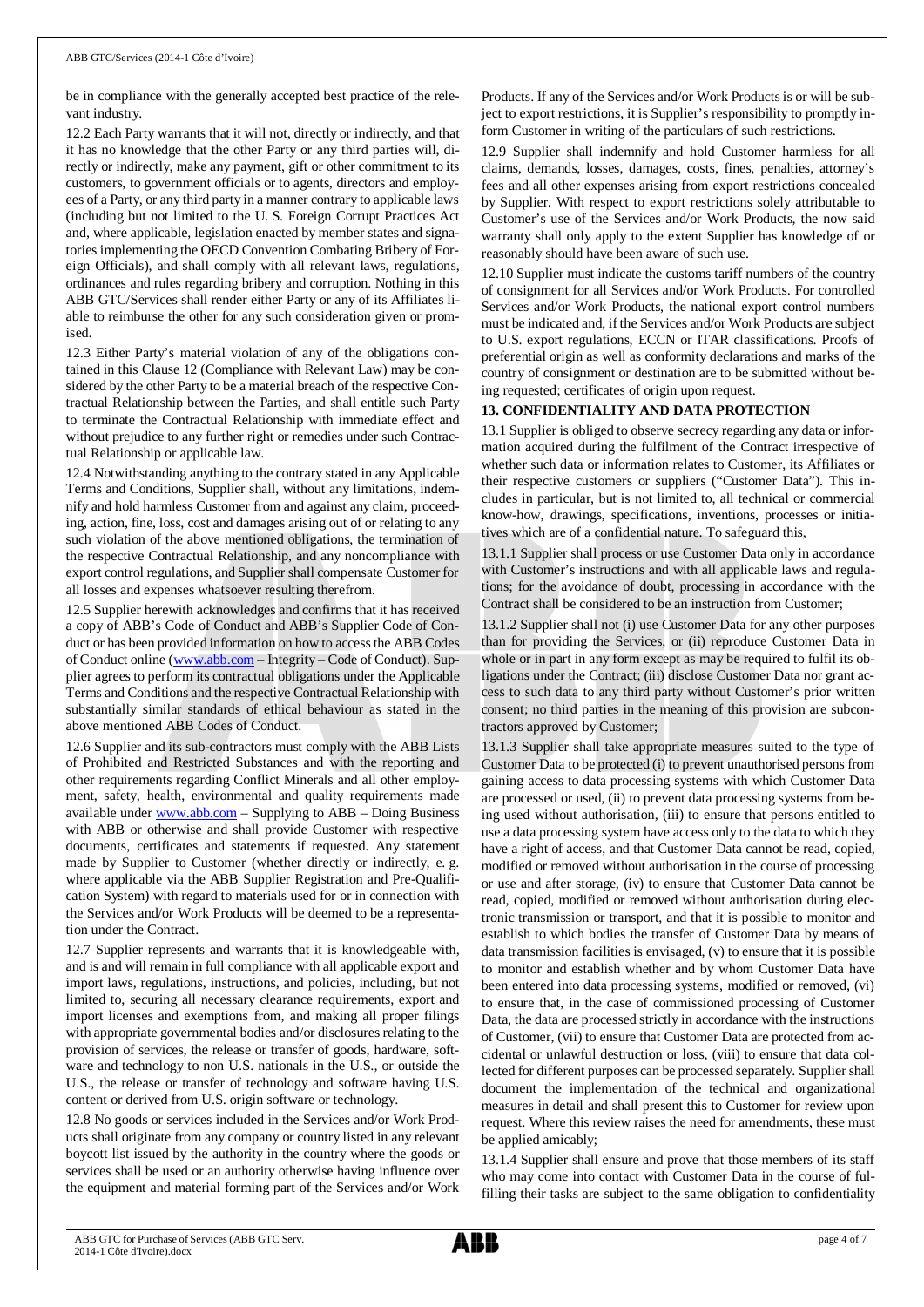be in compliance with the generally accepted best practice of the relevant industry.

12.2 Each Party warrants that it will not, directly or indirectly, and that it has no knowledge that the other Party or any third parties will, directly or indirectly, make any payment, gift or other commitment to its customers, to government officials or to agents, directors and employees of a Party, or any third party in a manner contrary to applicable laws (including but not limited to the U. S. Foreign Corrupt Practices Act and, where applicable, legislation enacted by member states and signatories implementing the OECD Convention Combating Bribery of Foreign Officials), and shall comply with all relevant laws, regulations, ordinances and rules regarding bribery and corruption. Nothing in this ABB GTC/Services shall render either Party or any of its Affiliates liable to reimburse the other for any such consideration given or promised.

12.3 Either Party's material violation of any of the obligations contained in this Clause 12 (Compliance with Relevant Law) may be considered by the other Party to be a material breach of the respective Contractual Relationship between the Parties, and shall entitle such Party to terminate the Contractual Relationship with immediate effect and without prejudice to any further right or remedies under such Contractual Relationship or applicable law.

12.4 Notwithstanding anything to the contrary stated in any Applicable Terms and Conditions, Supplier shall, without any limitations, indemnify and hold harmless Customer from and against any claim, proceeding, action, fine, loss, cost and damages arising out of or relating to any such violation of the above mentioned obligations, the termination of the respective Contractual Relationship, and any noncompliance with export control regulations, and Supplier shall compensate Customer for all losses and expenses whatsoever resulting therefrom.

12.5 Supplier herewith acknowledges and confirms that it has received a copy of ABB's Code of Conduct and ABB's Supplier Code of Conduct or has been provided information on how to access the ABB Codes of Conduct online ([www.abb.com](http://www.abb.com/) – Integrity – Code of Conduct). Supplier agrees to perform its contractual obligations under the Applicable Terms and Conditions and the respective Contractual Relationship with substantially similar standards of ethical behaviour as stated in the above mentioned ABB Codes of Conduct.

12.6 Supplier and its sub-contractors must comply with the ABB Lists of Prohibited and Restricted Substances and with the reporting and other requirements regarding Conflict Minerals and all other employment, safety, health, environmental and quality requirements made available under [www.abb.com](http://www.abb.com/) – Supplying to ABB – Doing Business with ABB or otherwise and shall provide Customer with respective documents, certificates and statements if requested. Any statement made by Supplier to Customer (whether directly or indirectly, e. g. where applicable via the ABB Supplier Registration and Pre-Qualification System) with regard to materials used for or in connection with the Services and/or Work Products will be deemed to be a representation under the Contract.

12.7 Supplier represents and warrants that it is knowledgeable with, and is and will remain in full compliance with all applicable export and import laws, regulations, instructions, and policies, including, but not limited to, securing all necessary clearance requirements, export and import licenses and exemptions from, and making all proper filings with appropriate governmental bodies and/or disclosures relating to the provision of services, the release or transfer of goods, hardware, software and technology to non U.S. nationals in the U.S., or outside the U.S., the release or transfer of technology and software having U.S. content or derived from U.S. origin software or technology.

12.8 No goods or services included in the Services and/or Work Products shall originate from any company or country listed in any relevant boycott list issued by the authority in the country where the goods or services shall be used or an authority otherwise having influence over the equipment and material forming part of the Services and/or Work

Products. If any of the Services and/or Work Products is or will be subject to export restrictions, it is Supplier's responsibility to promptly inform Customer in writing of the particulars of such restrictions.

12.9 Supplier shall indemnify and hold Customer harmless for all claims, demands, losses, damages, costs, fines, penalties, attorney's fees and all other expenses arising from export restrictions concealed by Supplier. With respect to export restrictions solely attributable to Customer's use of the Services and/or Work Products, the now said warranty shall only apply to the extent Supplier has knowledge of or reasonably should have been aware of such use.

12.10 Supplier must indicate the customs tariff numbers of the country of consignment for all Services and/or Work Products. For controlled Services and/or Work Products, the national export control numbers must be indicated and, if the Services and/or Work Products are subject to U.S. export regulations, ECCN or ITAR classifications. Proofs of preferential origin as well as conformity declarations and marks of the country of consignment or destination are to be submitted without being requested; certificates of origin upon request.

# **13. CONFIDENTIALITY AND DATA PROTECTION**

13.1 Supplier is obliged to observe secrecy regarding any data or information acquired during the fulfilment of the Contract irrespective of whether such data or information relates to Customer, its Affiliates or their respective customers or suppliers ("Customer Data"). This includes in particular, but is not limited to, all technical or commercial know-how, drawings, specifications, inventions, processes or initiatives which are of a confidential nature. To safeguard this,

13.1.1 Supplier shall process or use Customer Data only in accordance with Customer's instructions and with all applicable laws and regulations; for the avoidance of doubt, processing in accordance with the Contract shall be considered to be an instruction from Customer;

13.1.2 Supplier shall not (i) use Customer Data for any other purposes than for providing the Services, or (ii) reproduce Customer Data in whole or in part in any form except as may be required to fulfil its obligations under the Contract; (iii) disclose Customer Data nor grant access to such data to any third party without Customer's prior written consent; no third parties in the meaning of this provision are subcontractors approved by Customer;

13.1.3 Supplier shall take appropriate measures suited to the type of Customer Data to be protected (i) to prevent unauthorised persons from gaining access to data processing systems with which Customer Data are processed or used, (ii) to prevent data processing systems from being used without authorisation, (iii) to ensure that persons entitled to use a data processing system have access only to the data to which they have a right of access, and that Customer Data cannot be read, copied, modified or removed without authorisation in the course of processing or use and after storage, (iv) to ensure that Customer Data cannot be read, copied, modified or removed without authorisation during electronic transmission or transport, and that it is possible to monitor and establish to which bodies the transfer of Customer Data by means of data transmission facilities is envisaged, (v) to ensure that it is possible to monitor and establish whether and by whom Customer Data have been entered into data processing systems, modified or removed, (vi) to ensure that, in the case of commissioned processing of Customer Data, the data are processed strictly in accordance with the instructions of Customer, (vii) to ensure that Customer Data are protected from accidental or unlawful destruction or loss, (viii) to ensure that data collected for different purposes can be processed separately. Supplier shall document the implementation of the technical and organizational measures in detail and shall present this to Customer for review upon request. Where this review raises the need for amendments, these must be applied amicably;

13.1.4 Supplier shall ensure and prove that those members of its staff who may come into contact with Customer Data in the course of fulfilling their tasks are subject to the same obligation to confidentiality

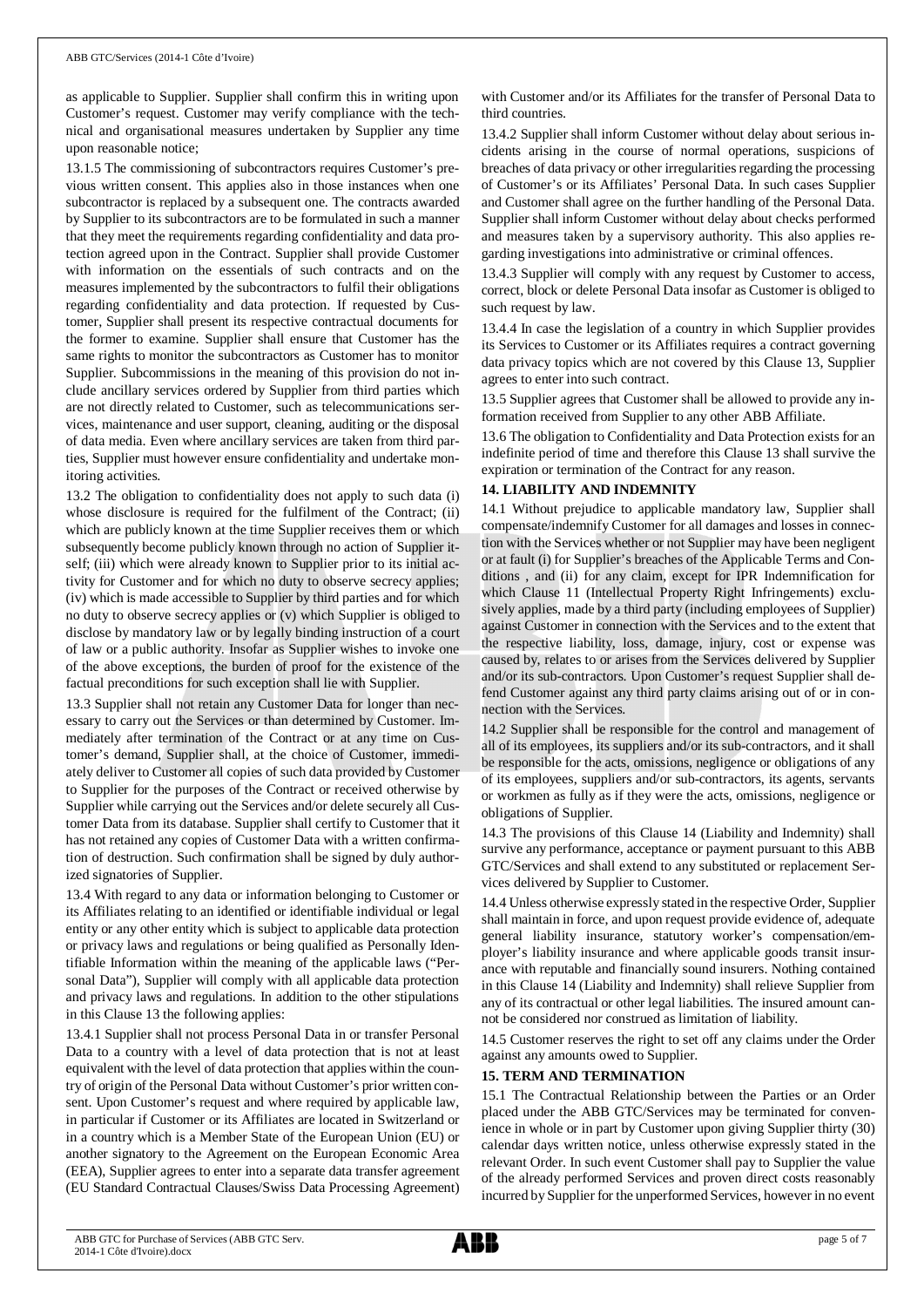as applicable to Supplier. Supplier shall confirm this in writing upon Customer's request. Customer may verify compliance with the technical and organisational measures undertaken by Supplier any time upon reasonable notice;

13.1.5 The commissioning of subcontractors requires Customer's previous written consent. This applies also in those instances when one subcontractor is replaced by a subsequent one. The contracts awarded by Supplier to its subcontractors are to be formulated in such a manner that they meet the requirements regarding confidentiality and data protection agreed upon in the Contract. Supplier shall provide Customer with information on the essentials of such contracts and on the measures implemented by the subcontractors to fulfil their obligations regarding confidentiality and data protection. If requested by Customer, Supplier shall present its respective contractual documents for the former to examine. Supplier shall ensure that Customer has the same rights to monitor the subcontractors as Customer has to monitor Supplier. Subcommissions in the meaning of this provision do not include ancillary services ordered by Supplier from third parties which are not directly related to Customer, such as telecommunications services, maintenance and user support, cleaning, auditing or the disposal of data media. Even where ancillary services are taken from third parties, Supplier must however ensure confidentiality and undertake monitoring activities.

13.2 The obligation to confidentiality does not apply to such data (i) whose disclosure is required for the fulfilment of the Contract; (ii) which are publicly known at the time Supplier receives them or which subsequently become publicly known through no action of Supplier itself; (iii) which were already known to Supplier prior to its initial activity for Customer and for which no duty to observe secrecy applies; (iv) which is made accessible to Supplier by third parties and for which no duty to observe secrecy applies or (v) which Supplier is obliged to disclose by mandatory law or by legally binding instruction of a court of law or a public authority. Insofar as Supplier wishes to invoke one of the above exceptions, the burden of proof for the existence of the factual preconditions for such exception shall lie with Supplier.

13.3 Supplier shall not retain any Customer Data for longer than necessary to carry out the Services or than determined by Customer. Immediately after termination of the Contract or at any time on Customer's demand, Supplier shall, at the choice of Customer, immediately deliver to Customer all copies of such data provided by Customer to Supplier for the purposes of the Contract or received otherwise by Supplier while carrying out the Services and/or delete securely all Customer Data from its database. Supplier shall certify to Customer that it has not retained any copies of Customer Data with a written confirmation of destruction. Such confirmation shall be signed by duly authorized signatories of Supplier.

13.4 With regard to any data or information belonging to Customer or its Affiliates relating to an identified or identifiable individual or legal entity or any other entity which is subject to applicable data protection or privacy laws and regulations or being qualified as Personally Identifiable Information within the meaning of the applicable laws ("Personal Data"), Supplier will comply with all applicable data protection and privacy laws and regulations. In addition to the other stipulations in this Clause 13 the following applies:

13.4.1 Supplier shall not process Personal Data in or transfer Personal Data to a country with a level of data protection that is not at least equivalent with the level of data protection that applies within the country of origin of the Personal Data without Customer's prior written consent. Upon Customer's request and where required by applicable law, in particular if Customer or its Affiliates are located in Switzerland or in a country which is a Member State of the European Union (EU) or another signatory to the Agreement on the European Economic Area (EEA), Supplier agrees to enter into a separate data transfer agreement (EU Standard Contractual Clauses/Swiss Data Processing Agreement) with Customer and/or its Affiliates for the transfer of Personal Data to third countries.

13.4.2 Supplier shall inform Customer without delay about serious incidents arising in the course of normal operations, suspicions of breaches of data privacy or other irregularities regarding the processing of Customer's or its Affiliates' Personal Data. In such cases Supplier and Customer shall agree on the further handling of the Personal Data. Supplier shall inform Customer without delay about checks performed and measures taken by a supervisory authority. This also applies regarding investigations into administrative or criminal offences.

13.4.3 Supplier will comply with any request by Customer to access, correct, block or delete Personal Data insofar as Customer is obliged to such request by law.

13.4.4 In case the legislation of a country in which Supplier provides its Services to Customer or its Affiliates requires a contract governing data privacy topics which are not covered by this Clause 13, Supplier agrees to enter into such contract.

13.5 Supplier agrees that Customer shall be allowed to provide any information received from Supplier to any other ABB Affiliate.

13.6 The obligation to Confidentiality and Data Protection exists for an indefinite period of time and therefore this Clause 13 shall survive the expiration or termination of the Contract for any reason.

# **14. LIABILITY AND INDEMNITY**

14.1 Without prejudice to applicable mandatory law, Supplier shall compensate/indemnify Customer for all damages and losses in connection with the Services whether or not Supplier may have been negligent or at fault (i) for Supplier's breaches of the Applicable Terms and Conditions , and (ii) for any claim, except for IPR Indemnification for which Clause 11 (Intellectual Property Right Infringements) exclusively applies, made by a third party (including employees of Supplier) against Customer in connection with the Services and to the extent that the respective liability, loss, damage, injury, cost or expense was caused by, relates to or arises from the Services delivered by Supplier and/or its sub-contractors. Upon Customer's request Supplier shall defend Customer against any third party claims arising out of or in connection with the Services.

14.2 Supplier shall be responsible for the control and management of all of its employees, its suppliers and/or its sub-contractors, and it shall be responsible for the acts, omissions, negligence or obligations of any of its employees, suppliers and/or sub-contractors, its agents, servants or workmen as fully as if they were the acts, omissions, negligence or obligations of Supplier.

14.3 The provisions of this Clause 14 (Liability and Indemnity) shall survive any performance, acceptance or payment pursuant to this ABB GTC/Services and shall extend to any substituted or replacement Services delivered by Supplier to Customer.

14.4 Unless otherwise expressly stated in the respective Order, Supplier shall maintain in force, and upon request provide evidence of, adequate general liability insurance, statutory worker's compensation/employer's liability insurance and where applicable goods transit insurance with reputable and financially sound insurers. Nothing contained in this Clause 14 (Liability and Indemnity) shall relieve Supplier from any of its contractual or other legal liabilities. The insured amount cannot be considered nor construed as limitation of liability.

14.5 Customer reserves the right to set off any claims under the Order against any amounts owed to Supplier.

# **15. TERM AND TERMINATION**

15.1 The Contractual Relationship between the Parties or an Order placed under the ABB GTC/Services may be terminated for convenience in whole or in part by Customer upon giving Supplier thirty (30) calendar days written notice, unless otherwise expressly stated in the relevant Order. In such event Customer shall pay to Supplier the value of the already performed Services and proven direct costs reasonably incurred by Supplier for the unperformed Services, however in no event

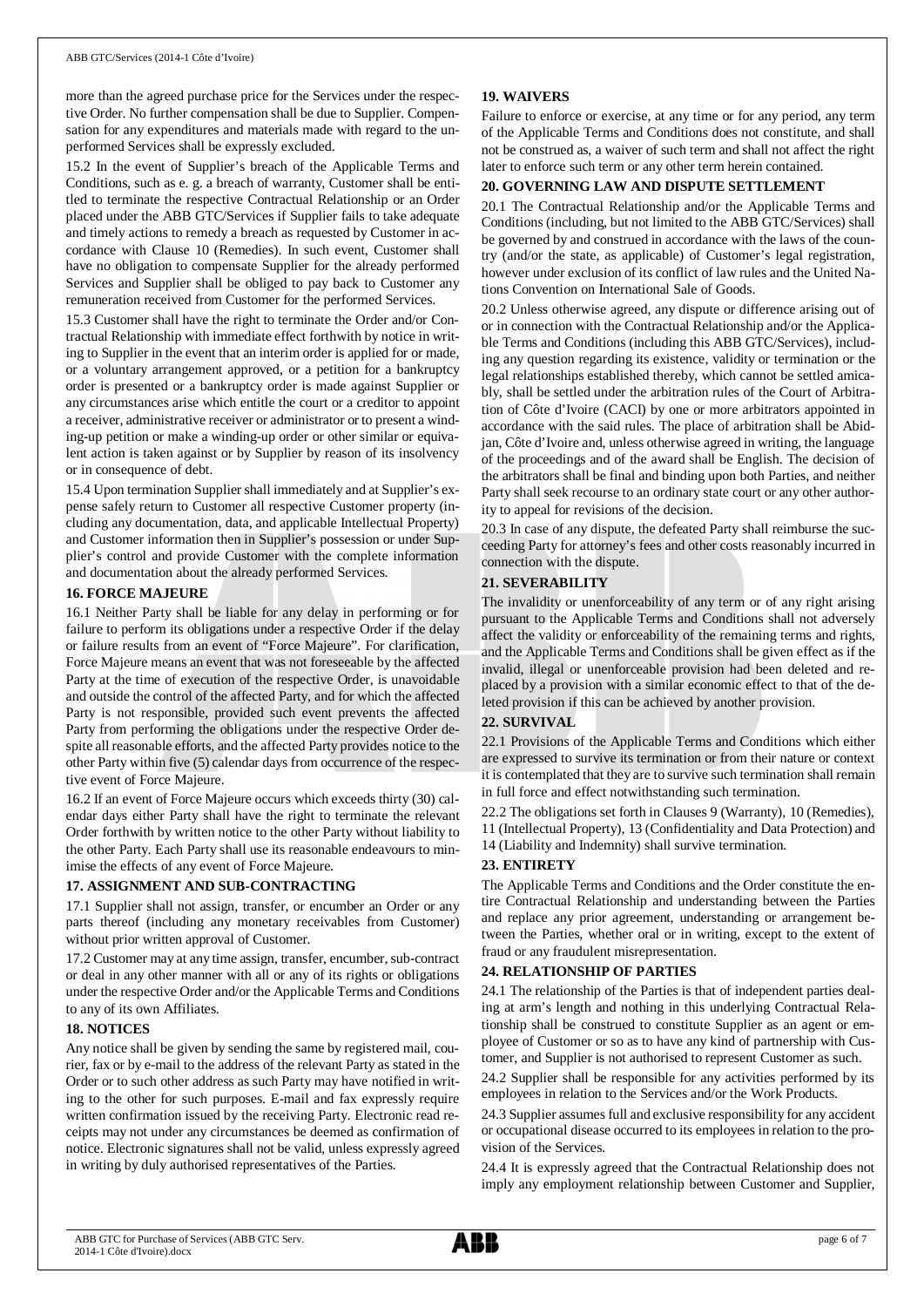more than the agreed purchase price for the Services under the respective Order. No further compensation shall be due to Supplier. Compensation for any expenditures and materials made with regard to the unperformed Services shall be expressly excluded.

15.2 In the event of Supplier's breach of the Applicable Terms and Conditions, such as e. g. a breach of warranty, Customer shall be entitled to terminate the respective Contractual Relationship or an Order placed under the ABB GTC/Services if Supplier fails to take adequate and timely actions to remedy a breach as requested by Customer in accordance with Clause 10 (Remedies). In such event, Customer shall have no obligation to compensate Supplier for the already performed Services and Supplier shall be obliged to pay back to Customer any remuneration received from Customer for the performed Services.

15.3 Customer shall have the right to terminate the Order and/or Contractual Relationship with immediate effect forthwith by notice in writing to Supplier in the event that an interim order is applied for or made, or a voluntary arrangement approved, or a petition for a bankruptcy order is presented or a bankruptcy order is made against Supplier or any circumstances arise which entitle the court or a creditor to appoint a receiver, administrative receiver or administrator or to present a winding-up petition or make a winding-up order or other similar or equivalent action is taken against or by Supplier by reason of its insolvency or in consequence of debt.

15.4 Upon termination Supplier shall immediately and at Supplier's expense safely return to Customer all respective Customer property (including any documentation, data, and applicable Intellectual Property) and Customer information then in Supplier's possession or under Supplier's control and provide Customer with the complete information and documentation about the already performed Services.

#### **16. FORCE MAJEURE**

16.1 Neither Party shall be liable for any delay in performing or for failure to perform its obligations under a respective Order if the delay or failure results from an event of "Force Majeure". For clarification, Force Majeure means an event that was not foreseeable by the affected Party at the time of execution of the respective Order, is unavoidable and outside the control of the affected Party, and for which the affected Party is not responsible, provided such event prevents the affected Party from performing the obligations under the respective Order despite all reasonable efforts, and the affected Party provides notice to the other Party within five (5) calendar days from occurrence of the respective event of Force Majeure.

16.2 If an event of Force Majeure occurs which exceeds thirty (30) calendar days either Party shall have the right to terminate the relevant Order forthwith by written notice to the other Party without liability to the other Party. Each Party shall use its reasonable endeavours to minimise the effects of any event of Force Majeure.

### **17. ASSIGNMENT AND SUB-CONTRACTING**

17.1 Supplier shall not assign, transfer, or encumber an Order or any parts thereof (including any monetary receivables from Customer) without prior written approval of Customer.

17.2 Customer may at any time assign, transfer, encumber, sub-contract or deal in any other manner with all or any of its rights or obligations under the respective Order and/or the Applicable Terms and Conditions to any of its own Affiliates.

#### **18. NOTICES**

Any notice shall be given by sending the same by registered mail, courier, fax or by e-mail to the address of the relevant Party as stated in the Order or to such other address as such Party may have notified in writing to the other for such purposes. E-mail and fax expressly require written confirmation issued by the receiving Party. Electronic read receipts may not under any circumstances be deemed as confirmation of notice. Electronic signatures shall not be valid, unless expressly agreed in writing by duly authorised representatives of the Parties.

## **19. WAIVERS**

Failure to enforce or exercise, at any time or for any period, any term of the Applicable Terms and Conditions does not constitute, and shall not be construed as, a waiver of such term and shall not affect the right later to enforce such term or any other term herein contained.

### **20. GOVERNING LAW AND DISPUTE SETTLEMENT**

20.1 The Contractual Relationship and/or the Applicable Terms and Conditions (including, but not limited to the ABB GTC/Services) shall be governed by and construed in accordance with the laws of the country (and/or the state, as applicable) of Customer's legal registration, however under exclusion of its conflict of law rules and the United Nations Convention on International Sale of Goods.

20.2 Unless otherwise agreed, any dispute or difference arising out of or in connection with the Contractual Relationship and/or the Applicable Terms and Conditions (including this ABB GTC/Services), including any question regarding its existence, validity or termination or the legal relationships established thereby, which cannot be settled amicably, shall be settled under the arbitration rules of the Court of Arbitration of Côte d'Ivoire (CACI) by one or more arbitrators appointed in accordance with the said rules. The place of arbitration shall be Abidjan, Côte d'Ivoire and, unless otherwise agreed in writing, the language of the proceedings and of the award shall be English. The decision of the arbitrators shall be final and binding upon both Parties, and neither Party shall seek recourse to an ordinary state court or any other authority to appeal for revisions of the decision.

20.3 In case of any dispute, the defeated Party shall reimburse the succeeding Party for attorney's fees and other costs reasonably incurred in connection with the dispute.

### **21. SEVERABILITY**

The invalidity or unenforceability of any term or of any right arising pursuant to the Applicable Terms and Conditions shall not adversely affect the validity or enforceability of the remaining terms and rights, and the Applicable Terms and Conditions shall be given effect as if the invalid, illegal or unenforceable provision had been deleted and replaced by a provision with a similar economic effect to that of the deleted provision if this can be achieved by another provision.

### **22. SURVIVAL**

22.1 Provisions of the Applicable Terms and Conditions which either are expressed to survive its termination or from their nature or context it is contemplated that they are to survive such termination shall remain in full force and effect notwithstanding such termination.

22.2 The obligations set forth in Clauses 9 (Warranty), 10 (Remedies), 11 (Intellectual Property), 13 (Confidentiality and Data Protection) and 14 (Liability and Indemnity) shall survive termination.

# **23. ENTIRETY**

The Applicable Terms and Conditions and the Order constitute the entire Contractual Relationship and understanding between the Parties and replace any prior agreement, understanding or arrangement between the Parties, whether oral or in writing, except to the extent of fraud or any fraudulent misrepresentation.

### **24. RELATIONSHIP OF PARTIES**

24.1 The relationship of the Parties is that of independent parties dealing at arm's length and nothing in this underlying Contractual Relationship shall be construed to constitute Supplier as an agent or employee of Customer or so as to have any kind of partnership with Customer, and Supplier is not authorised to represent Customer as such.

24.2 Supplier shall be responsible for any activities performed by its employees in relation to the Services and/or the Work Products.

24.3 Supplier assumes full and exclusive responsibility for any accident or occupational disease occurred to its employees in relation to the provision of the Services.

24.4 It is expressly agreed that the Contractual Relationship does not imply any employment relationship between Customer and Supplier,